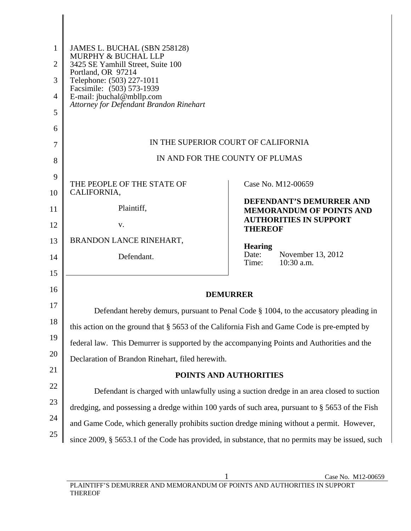| 1  | JAMES L. BUCHAL (SBN 258128)<br>MURPHY & BUCHAL LLP                                              |                                                                                              |
|----|--------------------------------------------------------------------------------------------------|----------------------------------------------------------------------------------------------|
| 2  | 3425 SE Yamhill Street, Suite 100<br>Portland, OR 97214                                          |                                                                                              |
| 3  | Telephone: (503) 227-1011<br>Facsimile: (503) 573-1939                                           |                                                                                              |
| 4  | E-mail: jbuchal@mbllp.com                                                                        |                                                                                              |
| 5  | Attorney for Defendant Brandon Rinehart                                                          |                                                                                              |
| 6  |                                                                                                  |                                                                                              |
| 7  |                                                                                                  | IN THE SUPERIOR COURT OF CALIFORNIA                                                          |
| 8  |                                                                                                  | IN AND FOR THE COUNTY OF PLUMAS                                                              |
| 9  |                                                                                                  |                                                                                              |
| 10 | THE PEOPLE OF THE STATE OF<br>CALIFORNIA,                                                        | Case No. M12-00659                                                                           |
| 11 | Plaintiff,                                                                                       | DEFENDANT'S DEMURRER AND<br><b>MEMORANDUM OF POINTS AND</b><br><b>AUTHORITIES IN SUPPORT</b> |
| 12 | V.                                                                                               | <b>THEREOF</b>                                                                               |
| 13 | BRANDON LANCE RINEHART,                                                                          | <b>Hearing</b>                                                                               |
| 14 | Defendant.                                                                                       | Date:<br>November 13, 2012<br>$10:30$ a.m.<br>Time:                                          |
| 15 |                                                                                                  |                                                                                              |
| 16 |                                                                                                  | <b>DEMURRER</b>                                                                              |
| 17 |                                                                                                  | Defendant hereby demurs, pursuant to Penal Code § 1004, to the accusatory pleading in        |
| 18 | this action on the ground that § 5653 of the California Fish and Game Code is pre-empted by      |                                                                                              |
| 19 | federal law. This Demurrer is supported by the accompanying Points and Authorities and the       |                                                                                              |
| 20 | Declaration of Brandon Rinehart, filed herewith.                                                 |                                                                                              |
| 21 |                                                                                                  | POINTS AND AUTHORITIES                                                                       |
| 22 |                                                                                                  | Defendant is charged with unlawfully using a suction dredge in an area closed to suction     |
| 23 | dredging, and possessing a dredge within 100 yards of such area, pursuant to § 5653 of the Fish  |                                                                                              |
| 24 | and Game Code, which generally prohibits suction dredge mining without a permit. However,        |                                                                                              |
| 25 | since 2009, § 5653.1 of the Code has provided, in substance, that no permits may be issued, such |                                                                                              |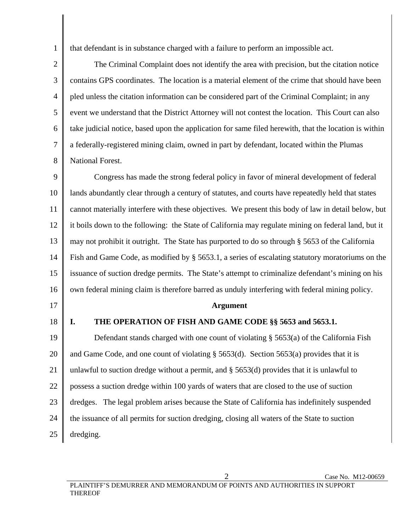that defendant is in substance charged with a failure to perform an impossible act.

2 3 4 5 6 7 8 The Criminal Complaint does not identify the area with precision, but the citation notice contains GPS coordinates. The location is a material element of the crime that should have been pled unless the citation information can be considered part of the Criminal Complaint; in any event we understand that the District Attorney will not contest the location. This Court can also take judicial notice, based upon the application for same filed herewith, that the location is within a federally-registered mining claim, owned in part by defendant, located within the Plumas National Forest.

9 10 11 12 13 14 15 16 Congress has made the strong federal policy in favor of mineral development of federal lands abundantly clear through a century of statutes, and courts have repeatedly held that states cannot materially interfere with these objectives. We present this body of law in detail below, but it boils down to the following: the State of California may regulate mining on federal land, but it may not prohibit it outright. The State has purported to do so through § 5653 of the California Fish and Game Code, as modified by § 5653.1, a series of escalating statutory moratoriums on the issuance of suction dredge permits. The State's attempt to criminalize defendant's mining on his own federal mining claim is therefore barred as unduly interfering with federal mining policy.

17

1

18

THEREOF

## **Argument**

## **I. THE OPERATION OF FISH AND GAME CODE §§ 5653 and 5653.1.**

19 20 21 22 23 24 25 Defendant stands charged with one count of violating § 5653(a) of the California Fish and Game Code, and one count of violating § 5653(d). Section 5653(a) provides that it is unlawful to suction dredge without a permit, and § 5653(d) provides that it is unlawful to possess a suction dredge within 100 yards of waters that are closed to the use of suction dredges. The legal problem arises because the State of California has indefinitely suspended the issuance of all permits for suction dredging, closing all waters of the State to suction dredging.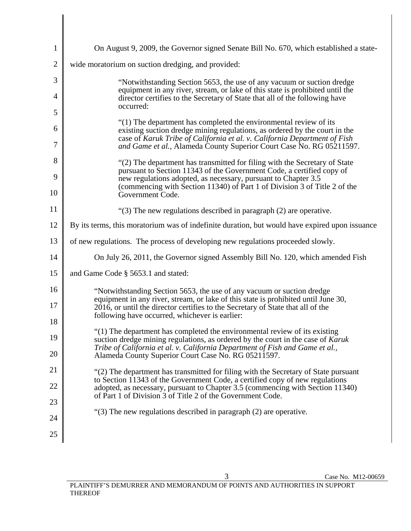| $\mathbf{1}$   | On August 9, 2009, the Governor signed Senate Bill No. 670, which established a state-                                                                                                                                                                                                               |
|----------------|------------------------------------------------------------------------------------------------------------------------------------------------------------------------------------------------------------------------------------------------------------------------------------------------------|
| $\overline{2}$ | wide moratorium on suction dredging, and provided:                                                                                                                                                                                                                                                   |
| 3              | "Notwithstanding Section 5653, the use of any vacuum or suction dredge                                                                                                                                                                                                                               |
| $\overline{4}$ | equipment in any river, stream, or lake of this state is prohibited until the<br>director certifies to the Secretary of State that all of the following have<br>occurred:                                                                                                                            |
| 5              |                                                                                                                                                                                                                                                                                                      |
| 6<br>7         | "(1) The department has completed the environmental review of its<br>existing suction dredge mining regulations, as ordered by the court in the<br>case of Karuk Tribe of California et al. v. California Department of Fish<br>and Game et al., Alameda County Superior Court Case No. RG 05211597. |
| 8              | "(2) The department has transmitted for filing with the Secretary of State                                                                                                                                                                                                                           |
| 9              | pursuant to Section 11343 of the Government Code, a certified copy of<br>new regulations adopted, as necessary, pursuant to Chapter 3.5                                                                                                                                                              |
| 10             | (commencing with Section 11340) of Part 1 of Division 3 of Title 2 of the<br>Government Code.                                                                                                                                                                                                        |
| 11             | " $(3)$ The new regulations described in paragraph $(2)$ are operative.                                                                                                                                                                                                                              |
| 12             | By its terms, this moratorium was of indefinite duration, but would have expired upon issuance                                                                                                                                                                                                       |
| 13             | of new regulations. The process of developing new regulations proceeded slowly.                                                                                                                                                                                                                      |
| 14             | On July 26, 2011, the Governor signed Assembly Bill No. 120, which amended Fish                                                                                                                                                                                                                      |
| 15             | and Game Code § 5653.1 and stated:                                                                                                                                                                                                                                                                   |
| 16             | "Notwithstanding Section 5653, the use of any vacuum or suction dredge                                                                                                                                                                                                                               |
| 17             | equipment in any river, stream, or lake of this state is prohibited until June 30,<br>2016, or until the director certifies to the Secretary of State that all of the                                                                                                                                |
| 18             | following have occurred, whichever is earlier:                                                                                                                                                                                                                                                       |
| 19             | "(1) The department has completed the environmental review of its existing<br>suction dredge mining regulations, as ordered by the court in the case of Karuk                                                                                                                                        |
| 20             | Tribe of California et al. v. California Department of Fish and Game et al.,<br>Alameda County Superior Court Case No. RG 05211597.                                                                                                                                                                  |
| 21             | "(2) The department has transmitted for filing with the Secretary of State pursuant                                                                                                                                                                                                                  |
| 22             | to Section 11343 of the Government Code, a certified copy of new regulations<br>adopted, as necessary, pursuant to Chapter 3.5 (commencing with Section 11340)                                                                                                                                       |
| 23             | of Part 1 of Division 3 of Title 2 of the Government Code.                                                                                                                                                                                                                                           |
| 24             | "(3) The new regulations described in paragraph (2) are operative.                                                                                                                                                                                                                                   |
| 25             |                                                                                                                                                                                                                                                                                                      |
|                |                                                                                                                                                                                                                                                                                                      |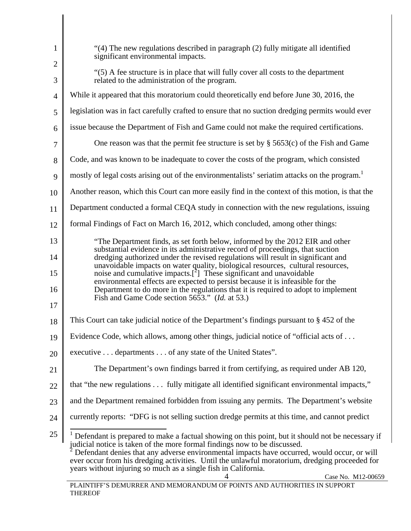| $\mathbf{1}$   | "(4) The new regulations described in paragraph (2) fully mitigate all identified<br>significant environmental impacts.                                                                                                                                                                                                                                                                                                                          |
|----------------|--------------------------------------------------------------------------------------------------------------------------------------------------------------------------------------------------------------------------------------------------------------------------------------------------------------------------------------------------------------------------------------------------------------------------------------------------|
| $\overline{2}$ |                                                                                                                                                                                                                                                                                                                                                                                                                                                  |
| 3              | "(5) A fee structure is in place that will fully cover all costs to the department<br>related to the administration of the program.                                                                                                                                                                                                                                                                                                              |
| $\overline{4}$ | While it appeared that this moratorium could theoretically end before June 30, 2016, the                                                                                                                                                                                                                                                                                                                                                         |
| 5              | legislation was in fact carefully crafted to ensure that no suction dredging permits would ever                                                                                                                                                                                                                                                                                                                                                  |
| 6              | issue because the Department of Fish and Game could not make the required certifications.                                                                                                                                                                                                                                                                                                                                                        |
| $\overline{7}$ | One reason was that the permit fee structure is set by $\S$ 5653(c) of the Fish and Game                                                                                                                                                                                                                                                                                                                                                         |
| 8              | Code, and was known to be inadequate to cover the costs of the program, which consisted                                                                                                                                                                                                                                                                                                                                                          |
| 9              | mostly of legal costs arising out of the environmentalists' seriatim attacks on the program. <sup>1</sup>                                                                                                                                                                                                                                                                                                                                        |
| 10             | Another reason, which this Court can more easily find in the context of this motion, is that the                                                                                                                                                                                                                                                                                                                                                 |
| 11             | Department conducted a formal CEQA study in connection with the new regulations, issuing                                                                                                                                                                                                                                                                                                                                                         |
| 12             | formal Findings of Fact on March 16, 2012, which concluded, among other things:                                                                                                                                                                                                                                                                                                                                                                  |
| 13             | "The Department finds, as set forth below, informed by the 2012 EIR and other                                                                                                                                                                                                                                                                                                                                                                    |
| 14             | substantial evidence in its administrative record of proceedings, that suction<br>dredging authorized under the revised regulations will result in significant and                                                                                                                                                                                                                                                                               |
| 15             | unavoidable impacts on water quality, biological resources, cultural resources,<br>noise and cumulative impacts. $\lceil^2\rceil$ These significant and unavoidable                                                                                                                                                                                                                                                                              |
| 16             | environmental effects are expected to persist because it is infeasible for the<br>Department to do more in the regulations that it is required to adopt to implement                                                                                                                                                                                                                                                                             |
| 17             | Fish and Game Code section 5653." ( <i>Id.</i> at 53.)                                                                                                                                                                                                                                                                                                                                                                                           |
| 18             | This Court can take judicial notice of the Department's findings pursuant to $\S 452$ of the                                                                                                                                                                                                                                                                                                                                                     |
| 19             | Evidence Code, which allows, among other things, judicial notice of "official acts of                                                                                                                                                                                                                                                                                                                                                            |
| 20             | executive departments of any state of the United States".                                                                                                                                                                                                                                                                                                                                                                                        |
| 21             | The Department's own findings barred it from certifying, as required under AB 120,                                                                                                                                                                                                                                                                                                                                                               |
| 22             | that "the new regulations fully mitigate all identified significant environmental impacts,"                                                                                                                                                                                                                                                                                                                                                      |
| 23             | and the Department remained forbidden from issuing any permits. The Department's website                                                                                                                                                                                                                                                                                                                                                         |
| 24             | currently reports: "DFG is not selling suction dredge permits at this time, and cannot predict                                                                                                                                                                                                                                                                                                                                                   |
| 25             | Defendant is prepared to make a factual showing on this point, but it should not be necessary if<br>judicial notice is taken of the more formal findings now to be discussed.<br>Defendant denies that any adverse environmental impacts have occurred, would occur, or will<br>ever occur from his dredging activities. Until the unlawful moratorium, dredging proceeded for<br>years without injuring so much as a single fish in California. |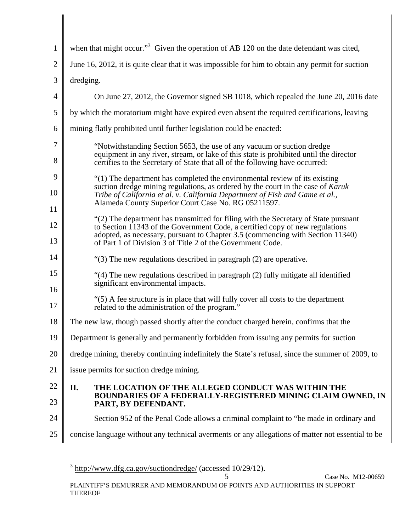| $\mathbf{1}$   | when that might occur." <sup>3</sup> Given the operation of AB 120 on the date defendant was cited,                                                                                                                                                                                                                 |
|----------------|---------------------------------------------------------------------------------------------------------------------------------------------------------------------------------------------------------------------------------------------------------------------------------------------------------------------|
| $\overline{2}$ | June 16, 2012, it is quite clear that it was impossible for him to obtain any permit for suction                                                                                                                                                                                                                    |
| 3              | dredging.                                                                                                                                                                                                                                                                                                           |
| 4              | On June 27, 2012, the Governor signed SB 1018, which repealed the June 20, 2016 date                                                                                                                                                                                                                                |
| 5              | by which the moratorium might have expired even absent the required certifications, leaving                                                                                                                                                                                                                         |
| 6              | mining flatly prohibited until further legislation could be enacted:                                                                                                                                                                                                                                                |
| 7<br>8         | "Notwithstanding Section 5653, the use of any vacuum or suction dredge<br>equipment in any river, stream, or lake of this state is prohibited until the director<br>certifies to the Secretary of State that all of the following have occurred:                                                                    |
| 9<br>10<br>11  | "(1) The department has completed the environmental review of its existing<br>suction dredge mining regulations, as ordered by the court in the case of Karuk<br>Tribe of California et al. v. California Department of Fish and Game et al.,<br>Alameda County Superior Court Case No. RG 05211597.                |
| 12<br>13       | "(2) The department has transmitted for filing with the Secretary of State pursuant<br>to Section 11343 of the Government Code, a certified copy of new regulations<br>adopted, as necessary, pursuant to Chapter 3.5 (commencing with Section 11340)<br>of Part 1 of Division 3 of Title 2 of the Government Code. |
| 14             | "(3) The new regulations described in paragraph (2) are operative.                                                                                                                                                                                                                                                  |
| 15<br>16       | "(4) The new regulations described in paragraph (2) fully mitigate all identified<br>significant environmental impacts.                                                                                                                                                                                             |
| 17             | "(5) A fee structure is in place that will fully cover all costs to the department<br>related to the administration of the program."                                                                                                                                                                                |
| 18             | The new law, though passed shortly after the conduct charged herein, confirms that the                                                                                                                                                                                                                              |
|                | 19 Department is generally and permanently forbidden from issuing any permits for suction                                                                                                                                                                                                                           |
| 20             | dredge mining, thereby continuing indefinitely the State's refusal, since the summer of 2009, to                                                                                                                                                                                                                    |
| 21             | issue permits for suction dredge mining.                                                                                                                                                                                                                                                                            |
| 22<br>23       | THE LOCATION OF THE ALLEGED CONDUCT WAS WITHIN THE<br>П.<br>BOUNDARIES OF A FEDERALLY-REGISTERED MINING CLAIM OWNED, IN<br>PART, BY DEFENDANT.                                                                                                                                                                      |
| 24             | Section 952 of the Penal Code allows a criminal complaint to "be made in ordinary and                                                                                                                                                                                                                               |
| 25             | concise language without any technical averments or any allegations of matter not essential to be                                                                                                                                                                                                                   |

<sup>&</sup>lt;sup>3</sup> http://www.dfg.ca.gov/suctiondredge/ (accessed 10/29/12).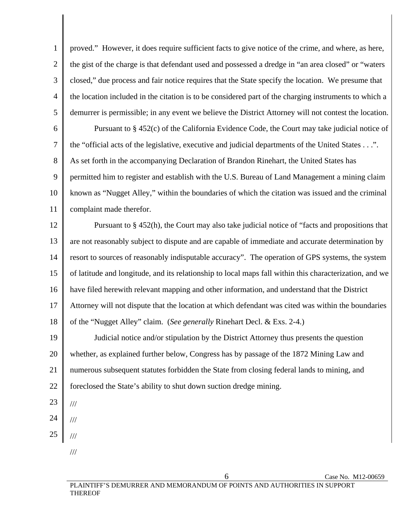1 2 3 4 5 proved." However, it does require sufficient facts to give notice of the crime, and where, as here, the gist of the charge is that defendant used and possessed a dredge in "an area closed" or "waters closed," due process and fair notice requires that the State specify the location. We presume that the location included in the citation is to be considered part of the charging instruments to which a demurrer is permissible; in any event we believe the District Attorney will not contest the location.

6 7 8 9 10 11 Pursuant to § 452(c) of the California Evidence Code, the Court may take judicial notice of the "official acts of the legislative, executive and judicial departments of the United States . . .". As set forth in the accompanying Declaration of Brandon Rinehart, the United States has permitted him to register and establish with the U.S. Bureau of Land Management a mining claim known as "Nugget Alley," within the boundaries of which the citation was issued and the criminal complaint made therefor.

12 13 14 15 16 17 18 Pursuant to § 452(h), the Court may also take judicial notice of "facts and propositions that are not reasonably subject to dispute and are capable of immediate and accurate determination by resort to sources of reasonably indisputable accuracy". The operation of GPS systems, the system of latitude and longitude, and its relationship to local maps fall within this characterization, and we have filed herewith relevant mapping and other information, and understand that the District Attorney will not dispute that the location at which defendant was cited was within the boundaries of the "Nugget Alley" claim. (*See generally* Rinehart Decl. & Exs. 2-4.)

19 20 21 22 Judicial notice and/or stipulation by the District Attorney thus presents the question whether, as explained further below, Congress has by passage of the 1872 Mining Law and numerous subsequent statutes forbidden the State from closing federal lands to mining, and foreclosed the State's ability to shut down suction dredge mining.

- 23
- 24
- 25
	- ///
		- ///

///

///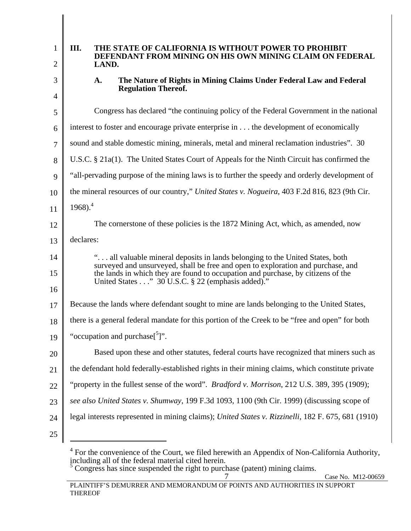| 1  | Ш.<br>THE STATE OF CALIFORNIA IS WITHOUT POWER TO PROHIBIT<br>DEFENDANT FROM MINING ON HIS OWN MINING CLAIM ON FEDERAL                                               |
|----|----------------------------------------------------------------------------------------------------------------------------------------------------------------------|
| 2  | LAND.                                                                                                                                                                |
| 3  | The Nature of Rights in Mining Claims Under Federal Law and Federal<br>A.<br><b>Regulation Thereof.</b>                                                              |
| 4  |                                                                                                                                                                      |
| 5  | Congress has declared "the continuing policy of the Federal Government in the national                                                                               |
| 6  | interest to foster and encourage private enterprise in the development of economically                                                                               |
| 7  | sound and stable domestic mining, minerals, metal and mineral reclamation industries". 30                                                                            |
| 8  | U.S.C. $\S$ 21a(1). The United States Court of Appeals for the Ninth Circuit has confirmed the                                                                       |
| 9  | "all-pervading purpose of the mining laws is to further the speedy and orderly development of                                                                        |
| 10 | the mineral resources of our country," United States v. Nogueira, 403 F.2d 816, 823 (9th Cir.                                                                        |
| 11 | $1968$ ). <sup>4</sup>                                                                                                                                               |
| 12 | The cornerstone of these policies is the 1872 Mining Act, which, as amended, now                                                                                     |
| 13 | declares:                                                                                                                                                            |
| 14 | " all valuable mineral deposits in lands belonging to the United States, both                                                                                        |
| 15 | surveyed and unsurveyed, shall be free and open to exploration and purchase, and<br>the lands in which they are found to occupation and purchase, by citizens of the |
| 16 | United States" 30 U.S.C. § 22 (emphasis added)."                                                                                                                     |
| 17 | Because the lands where defendant sought to mine are lands belonging to the United States,                                                                           |
| 18 | there is a general federal mandate for this portion of the Creek to be "free and open" for both                                                                      |
| 19 | "occupation and purchase <sup>[5</sup> ]".                                                                                                                           |
| 20 | Based upon these and other statutes, federal courts have recognized that miners such as                                                                              |
| 21 | the defendant hold federally-established rights in their mining claims, which constitute private                                                                     |
| 22 | "property in the fullest sense of the word". <i>Bradford v. Morrison</i> , 212 U.S. 389, 395 (1909);                                                                 |
| 23 | see also United States v. Shumway, 199 F.3d 1093, 1100 (9th Cir. 1999) (discussing scope of                                                                          |
| 24 | legal interests represented in mining claims); United States v. Rizzinelli, 182 F. 675, 681 (1910)                                                                   |
| 25 |                                                                                                                                                                      |

 $4$  For the convenience of the Court, we filed herewith an Appendix of Non-California Authority, including all of the federal material cited herein.<br>
<sup>5</sup> Congress has since suspended the right to purchase (patent) mining claims.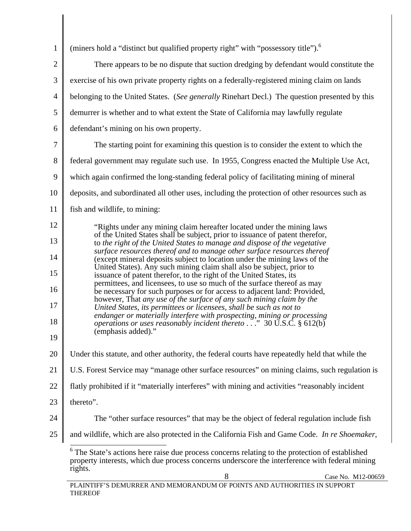| $\mathbf{1}$   | (miners hold a "distinct but qualified property right" with "possessory title"). <sup>6</sup>                                                                                                              |
|----------------|------------------------------------------------------------------------------------------------------------------------------------------------------------------------------------------------------------|
| $\overline{2}$ | There appears to be no dispute that suction dredging by defendant would constitute the                                                                                                                     |
| 3              | exercise of his own private property rights on a federally-registered mining claim on lands                                                                                                                |
| $\overline{4}$ | belonging to the United States. (See generally Rinehart Decl.) The question presented by this                                                                                                              |
| 5              | demurrer is whether and to what extent the State of California may lawfully regulate                                                                                                                       |
| 6              | defendant's mining on his own property.                                                                                                                                                                    |
| $\tau$         | The starting point for examining this question is to consider the extent to which the                                                                                                                      |
| 8              | federal government may regulate such use. In 1955, Congress enacted the Multiple Use Act,                                                                                                                  |
| 9              | which again confirmed the long-standing federal policy of facilitating mining of mineral                                                                                                                   |
| 10             | deposits, and subordinated all other uses, including the protection of other resources such as                                                                                                             |
| 11             | fish and wildlife, to mining:                                                                                                                                                                              |
| 12             | "Rights under any mining claim hereafter located under the mining laws                                                                                                                                     |
| 13             | of the United States shall be subject, prior to issuance of patent therefor,<br>to the right of the United States to manage and dispose of the vegetative                                                  |
| 14             | surface resources thereof and to manage other surface resources thereof<br>(except mineral deposits subject to location under the mining laws of the                                                       |
| 15             | United States). Any such mining claim shall also be subject, prior to<br>issuance of patent therefor, to the right of the United States, its                                                               |
| 16             | permittees, and licensees, to use so much of the surface thereof as may<br>be necessary for such purposes or for access to adjacent land: Provided,                                                        |
| 17             | however, That any use of the surface of any such mining claim by the<br>United States, its permittees or licensees, shall be such as not to                                                                |
| 18             | endanger or materially interfere with prospecting, mining or processing<br>operations or uses reasonably incident thereto 30 U.S.C. § 612(b)                                                               |
| 19             | (emphasis added)."                                                                                                                                                                                         |
| 20             | Under this statute, and other authority, the federal courts have repeatedly held that while the                                                                                                            |
| 21             | U.S. Forest Service may "manage other surface resources" on mining claims, such regulation is                                                                                                              |
| 22             | flatly prohibited if it "materially interferes" with mining and activities "reasonably incident                                                                                                            |
| 23             | thereto".                                                                                                                                                                                                  |
| 24             | The "other surface resources" that may be the object of federal regulation include fish                                                                                                                    |
| 25             | and wildlife, which are also protected in the California Fish and Game Code. In re Shoemaker,                                                                                                              |
|                | The State's actions here raise due process concerns relating to the protection of established<br>property interests, which due process concerns underscore the interference with federal mining<br>rights. |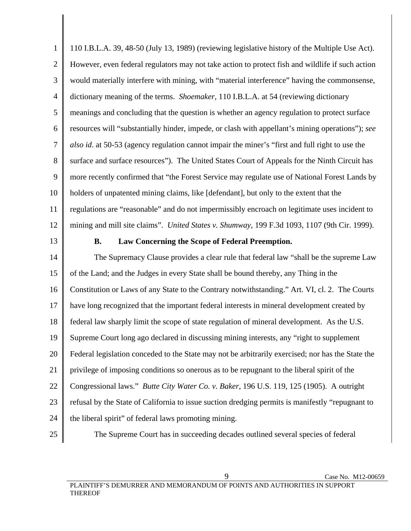1 2 3 4 5 6 7 8 9 10 11 12 110 I.B.L.A. 39, 48-50 (July 13, 1989) (reviewing legislative history of the Multiple Use Act). However, even federal regulators may not take action to protect fish and wildlife if such action would materially interfere with mining, with "material interference" having the commonsense, dictionary meaning of the terms. *Shoemaker*, 110 I.B.L.A. at 54 (reviewing dictionary meanings and concluding that the question is whether an agency regulation to protect surface resources will "substantially hinder, impede, or clash with appellant's mining operations"); *see also id*. at 50-53 (agency regulation cannot impair the miner's "first and full right to use the surface and surface resources"). The United States Court of Appeals for the Ninth Circuit has more recently confirmed that "the Forest Service may regulate use of National Forest Lands by holders of unpatented mining claims, like [defendant], but only to the extent that the regulations are "reasonable" and do not impermissibly encroach on legitimate uses incident to mining and mill site claims". *United States v. Shumway*, 199 F.3d 1093, 1107 (9th Cir. 1999).

13

## **B. Law Concerning the Scope of Federal Preemption.**

14 15 16 17 18 19 20 21 22 23 24 The Supremacy Clause provides a clear rule that federal law "shall be the supreme Law of the Land; and the Judges in every State shall be bound thereby, any Thing in the Constitution or Laws of any State to the Contrary notwithstanding." Art. VI, cl. 2. The Courts have long recognized that the important federal interests in mineral development created by federal law sharply limit the scope of state regulation of mineral development. As the U.S. Supreme Court long ago declared in discussing mining interests, any "right to supplement Federal legislation conceded to the State may not be arbitrarily exercised; nor has the State the privilege of imposing conditions so onerous as to be repugnant to the liberal spirit of the Congressional laws." *Butte City Water Co. v. Baker*, 196 U.S. 119, 125 (1905). A outright refusal by the State of California to issue suction dredging permits is manifestly "repugnant to the liberal spirit" of federal laws promoting mining.

25

The Supreme Court has in succeeding decades outlined several species of federal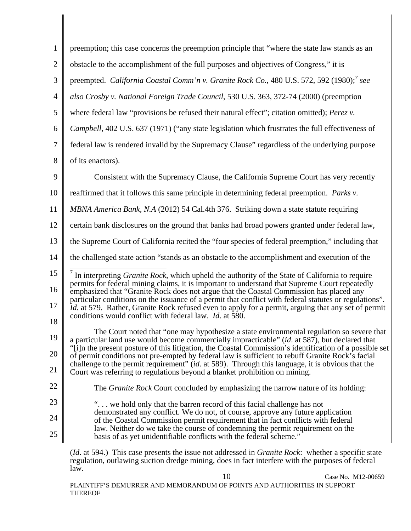| $\mathbf{1}$   | preemption; this case concerns the preemption principle that "where the state law stands as an                                                                                                                |
|----------------|---------------------------------------------------------------------------------------------------------------------------------------------------------------------------------------------------------------|
| $\overline{2}$ | obstacle to the accomplishment of the full purposes and objectives of Congress," it is                                                                                                                        |
| 3              | preempted. California Coastal Comm'n v. Granite Rock Co., 480 U.S. 572, 592 (1980); <sup>7</sup> see                                                                                                          |
| $\overline{4}$ | also Crosby v. National Foreign Trade Council, 530 U.S. 363, 372-74 (2000) (preemption                                                                                                                        |
| 5              | where federal law "provisions be refused their natural effect"; citation omitted); Perez v.                                                                                                                   |
| 6              | <i>Campbell</i> , 402 U.S. 637 (1971) ("any state legislation which frustrates the full effectiveness of                                                                                                      |
| 7              | federal law is rendered invalid by the Supremacy Clause" regardless of the underlying purpose                                                                                                                 |
| 8              | of its enactors).                                                                                                                                                                                             |
| 9              | Consistent with the Supremacy Clause, the California Supreme Court has very recently                                                                                                                          |
| 10             | reaffirmed that it follows this same principle in determining federal preemption. Parks v.                                                                                                                    |
| 11             | MBNA America Bank, N.A (2012) 54 Cal.4th 376. Striking down a state statute requiring                                                                                                                         |
| 12             | certain bank disclosures on the ground that banks had broad powers granted under federal law,                                                                                                                 |
| 13             | the Supreme Court of California recited the "four species of federal preemption," including that                                                                                                              |
| 14             | the challenged state action "stands as an obstacle to the accomplishment and execution of the                                                                                                                 |
| 15             | $\frac{7}{1}$ In interpreting <i>Granite Rock</i> , which upheld the authority of the State of California to require                                                                                          |
| 16             | permits for federal mining claims, it is important to understand that Supreme Court repeatedly<br>emphasized that "Granite Rock does not argue that the Coastal Commission has placed any                     |
| 17             | particular conditions on the issuance of a permit that conflict with federal statutes or regulations".<br>Id. at 579. Rather, Granite Rock refused even to apply for a permit, arguing that any set of permit |
| 18             | conditions would conflict with federal law. <i>Id.</i> at 580.                                                                                                                                                |
| 19             | The Court noted that "one may hypothesize a state environmental regulation so severe that<br>a particular land use would become commercially impracticable" (id. at 587), but declared that                   |
| 20             | "[i]n the present posture of this litigation, the Coastal Commission's identification of a possible set<br>of permit conditions not pre-empted by federal law is sufficient to rebuff Granite Rock's facial   |
| 21             | challenge to the permit requirement" (id. at 589). Through this language, it is obvious that the<br>Court was referring to regulations beyond a blanket prohibition on mining.                                |
| 22             | The <i>Granite Rock</i> Court concluded by emphasizing the narrow nature of its holding:                                                                                                                      |
| 23             | " we hold only that the barren record of this facial challenge has not                                                                                                                                        |
| 24             | demonstrated any conflict. We do not, of course, approve any future application<br>of the Coastal Commission permit requirement that in fact conflicts with federal                                           |
| 25             | law. Neither do we take the course of condemning the permit requirement on the<br>basis of as yet unidentifiable conflicts with the federal scheme."                                                          |
|                | ( <i>Id.</i> at 594.) This case presents the issue not addressed in <i>Granite Rock</i> : whether a specific state                                                                                            |

 10 Case No. M12-00659 regulation, outlawing suction dredge mining, does in fact interfere with the purposes of federal law.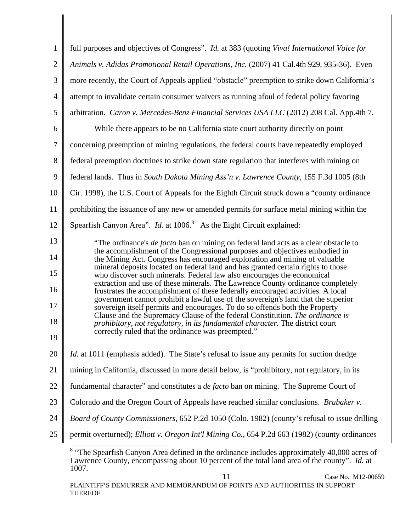| $\mathbf{1}$   | full purposes and objectives of Congress". Id. at 383 (quoting Viva! International Voice for                                                                                                                                                  |
|----------------|-----------------------------------------------------------------------------------------------------------------------------------------------------------------------------------------------------------------------------------------------|
| $\mathfrak{2}$ | Animals v. Adidas Promotional Retail Operations, Inc. (2007) 41 Cal.4th 929, 935-36). Even                                                                                                                                                    |
| 3              | more recently, the Court of Appeals applied "obstacle" preemption to strike down California's                                                                                                                                                 |
| $\overline{4}$ | attempt to invalidate certain consumer waivers as running afoul of federal policy favoring                                                                                                                                                    |
| 5              | arbitration. Caron v. Mercedes-Benz Financial Services USA LLC (2012) 208 Cal. App.4th 7.                                                                                                                                                     |
| 6              | While there appears to be no California state court authority directly on point                                                                                                                                                               |
| $\tau$         | concerning preemption of mining regulations, the federal courts have repeatedly employed                                                                                                                                                      |
| 8              | federal preemption doctrines to strike down state regulation that interferes with mining on                                                                                                                                                   |
| 9              | federal lands. Thus in South Dakota Mining Ass'n v. Lawrence County, 155 F.3d 1005 (8th                                                                                                                                                       |
| 10             | Cir. 1998), the U.S. Court of Appeals for the Eighth Circuit struck down a "county ordinance                                                                                                                                                  |
| 11             | prohibiting the issuance of any new or amended permits for surface metal mining within the                                                                                                                                                    |
| 12             | Spearfish Canyon Area". <i>Id.</i> at 1006. <sup>8</sup> As the Eight Circuit explained:                                                                                                                                                      |
| 13             | "The ordinance's <i>de facto</i> ban on mining on federal land acts as a clear obstacle to                                                                                                                                                    |
| 14<br>15       | the accomplishment of the Congressional purposes and objectives embodied in<br>the Mining Act. Congress has encouraged exploration and mining of valuable<br>mineral deposits located on federal land and has granted certain rights to those |
| 16             | who discover such minerals. Federal law also encourages the economical<br>extraction and use of these minerals. The Lawrence County ordinance completely<br>frustrates the accomplishment of these federally encouraged activities. A local   |
| 17             | government cannot prohibit a lawful use of the sovereign's land that the superior<br>sovereign itself permits and encourages. To do so offends both the Property                                                                              |
| 18             | Clause and the Supremacy Clause of the federal Constitution. The ordinance is<br>prohibitory, not regulatory, in its fundamental character. The district court                                                                                |
| 19             | correctly ruled that the ordinance was preempted."                                                                                                                                                                                            |
| 20             | <i>Id.</i> at 1011 (emphasis added). The State's refusal to issue any permits for suction dredge                                                                                                                                              |
| 21             | mining in California, discussed in more detail below, is "prohibitory, not regulatory, in its                                                                                                                                                 |
| 22             | fundamental character" and constitutes a <i>de facto</i> ban on mining. The Supreme Court of                                                                                                                                                  |
| 23             | Colorado and the Oregon Court of Appeals have reached similar conclusions. Brubaker v.                                                                                                                                                        |
| 24             | Board of County Commissioners, 652 P.2d 1050 (Colo. 1982) (county's refusal to issue drilling                                                                                                                                                 |
| 25             | permit overturned); Elliott v. Oregon Int'l Mining Co., 654 P.2d 663 (1982) (county ordinances                                                                                                                                                |
|                | <sup>8</sup> "The Spearfish Canyon Area defined in the ordinance includes approximately 40,000 acres of<br>Lawrence County, encompassing about 10 percent of the total land area of the county". Id. at<br>1007.                              |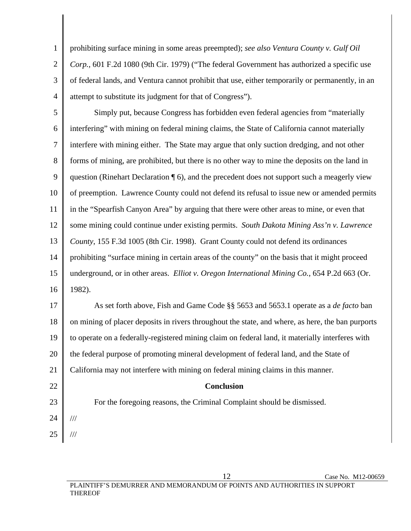4 prohibiting surface mining in some areas preempted); *see also Ventura County v. Gulf Oil Corp.,* 601 F.2d 1080 (9th Cir. 1979) ("The federal Government has authorized a specific use of federal lands, and Ventura cannot prohibit that use, either temporarily or permanently, in an attempt to substitute its judgment for that of Congress").

5 6 7 8 9 10 11 12 13 14 15 16 Simply put, because Congress has forbidden even federal agencies from "materially interfering" with mining on federal mining claims, the State of California cannot materially interfere with mining either. The State may argue that only suction dredging, and not other forms of mining, are prohibited, but there is no other way to mine the deposits on the land in question (Rinehart Declaration ¶ 6), and the precedent does not support such a meagerly view of preemption. Lawrence County could not defend its refusal to issue new or amended permits in the "Spearfish Canyon Area" by arguing that there were other areas to mine, or even that some mining could continue under existing permits. *South Dakota Mining Ass'n v. Lawrence County*, 155 F.3d 1005 (8th Cir. 1998). Grant County could not defend its ordinances prohibiting "surface mining in certain areas of the county" on the basis that it might proceed underground, or in other areas. *Elliot v. Oregon International Mining Co.*, 654 P.2d 663 (Or. 1982).

17 18 19 20 21 As set forth above, Fish and Game Code §§ 5653 and 5653.1 operate as a *de facto* ban on mining of placer deposits in rivers throughout the state, and where, as here, the ban purports to operate on a federally-registered mining claim on federal land, it materially interferes with the federal purpose of promoting mineral development of federal land, and the State of California may not interfere with mining on federal mining claims in this manner.

**Conclusion** 

For the foregoing reasons, the Criminal Complaint should be dismissed.

24

///

///

22

23

1

2

3

25